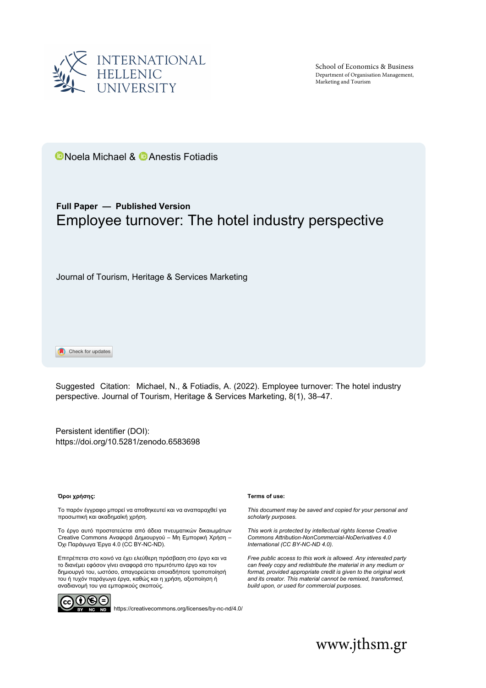

School of Economics & Business Department of Organisation Management, Marketing and Tourism

**D**Noela Michael & **D** Anestis Fotiadis

# **Full Paper — Published Version** Employee turnover: The hotel industry perspective

Journal of Tourism, Heritage & Services Marketing

Check for updates

Suggested Citation: Michael, N., & Fotiadis, A. (2022). Employee turnover: The hotel industry perspective. Journal of Tourism, Heritage & Services Marketing, 8(1), 38–47.

[Persistent identifier \(DOI\)](http://dx.doi.org/10.5281/zenodo.%ED%AF%80%ED%B0%96%ED%AF%80%ED%B0%9B%ED%AF%80%ED%B0%96%ED%AF%80%ED%B0%99%ED%AF%80%ED%B0%99%ED%AF%80%ED%B0%96%ED%AF%80%ED%B0%9B): <https://doi.org/10.5281/zenodo.6583698>

#### **Όροι χρήσης:**

Το παρόν έγγραφο μπορεί να αποθηκευτεί και να αναπαραχθεί για προσωπική και ακαδημαϊκή χρήση.

Το έργο αυτό προστατεύεται από άδεια πνευματικών δικαιωμάτων Creative Commons Αναφορά Δημιουργού – Μη Εμπορική Χρήση – Όχι Παράγωγα Έργα 4.0 (CC BY-NC-ND).

Επιτρέπεται στο κοινό να έχει ελεύθερη πρόσβαση στο έργο και να το διανέμει εφόσον γίνει αναφορά στο πρωτότυπο έργο και τον δημιουργό του, ωστόσο, απαγορεύεται οποιαδήποτε τροποποίησή του ή τυχόν παράγωγα έργα, καθώς και η χρήση, αξιοποίηση ή αναδιανομή του για εμπορικούς σκοπούς.



**ND** <https://creativecommons.org/licenses/by-nc-nd/4.0/>

#### **Terms of use:**

*This document may be saved and copied for your personal and scholarly purposes.*

*This work is protected by intellectual rights license Creative Commons Attribution-NonCommercial-NoDerivatives 4.0 International (CC BY-NC-ND 4.0).*

*Free public access to this work is allowed. Any interested party can freely copy and redistribute the material in any medium or format, provided appropriate credit is given to the original work and its creator. This material cannot be remixed, transformed, build upon, or used for commercial purposes.*

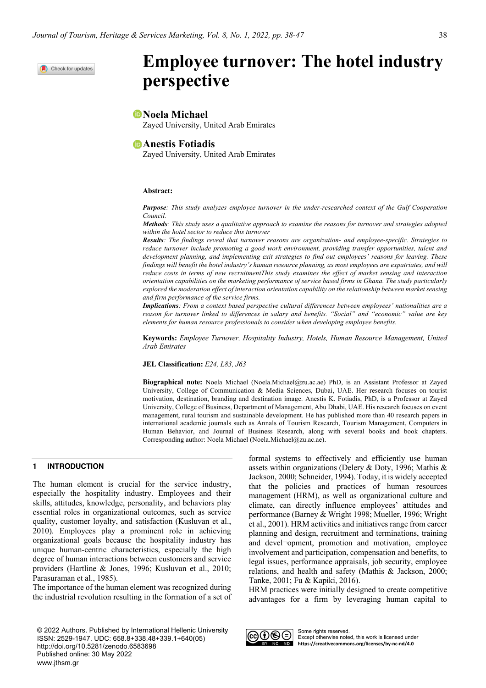Check for updates

# **Employee turnover: The hotel industry perspective**

# **Noela Michael**

Zayed University, United Arab Emirates

# *Anestis Fotiadis*

Zayed University, United Arab Emirates

#### **Abstract:**

*Purpose: This study analyzes employee turnover in the under-researched context of the Gulf Cooperation Council.*

*Methods: This study uses a qualitative approach to examine the reasons for turnover and strategies adopted within the hotel sector to reduce this turnover*

*Results: The findings reveal that turnover reasons are organization- and employee-specific. Strategies to reduce turnover include promoting a good work environment, providing transfer opportunities, talent and development planning, and implementing exit strategies to find out employees' reasons for leaving. These findings will benefit the hotel industry's human resource planning, as most employees are expatriates, and will reduce costs in terms of new recruitmentThis study examines the effect of market sensing and interaction orientation capabilities on the marketing performance of service based firms in Ghana. The study particularly explored the moderation effect of interaction orientation capability on the relationship between market sensing and firm performance of the service firms.*

*Implications: From a context based perspective cultural differences between employees' nationalities are a reason for turnover linked to differences in salary and benefits. "Social" and "economic" value are key elements for human resource professionals to consider when developing employee benefits.*

**Keywords:** *Employee Turnover, Hospitality Industry, Hotels, Human Resource Management, United Arab Emirates*

**JEL Classification:** *E24, L83, J63*

**Biographical note:** Noela Michael (Noela.Michael@zu.ac.ae) PhD, is an Assistant Professor at Zayed University, College of Communication & Media Sciences, Dubai, UAE. Her research focuses on tourist motivation, destination, branding and destination image. Anestis K. Fotiadis, PhD, is a Professor at Zayed University, College of Business, Department of Management, Abu Dhabi, UAE. His research focuses on event management, rural tourism and sustainable development. He has published more than 40 research papers in international academic journals such as Annals of Tourism Research, Tourism Management, Computers in Human Behavior, and Journal of Business Research, along with several books and book chapters. Corresponding author: Noela Michael (Noela.Michael@zu.ac.ae).

# **1 INTRODUCTION**

The human element is crucial for the service industry, especially the hospitality industry. Employees and their skills, attitudes, knowledge, personality, and behaviors play essential roles in organizational outcomes, such as service quality, customer loyalty, and satisfaction (Kusluvan et al., 2010). Employees play a prominent role in achieving organizational goals because the hospitality industry has unique human-centric characteristics, especially the high degree of human interactions between customers and service providers (Hartline & Jones, 1996; Kusluvan et al., 2010; Parasuraman et al., 1985).

The importance of the human element was recognized during the industrial revolution resulting in the formation of a set of

© 2022 Authors. Published by International Hellenic University ISSN: 2529-1947. UDC: 658.8+338.48+339.1+640(05) http://doi.org/10.5281/zenodo.6583698 Published online: 30 May 2022 www.jthsm.gr

formal systems to effectively and efficiently use human assets within organizations (Delery & Doty, 1996; Mathis & Jackson, 2000; Schneider, 1994). Today, it is widely accepted that the policies and practices of human resources management (HRM), as well as organizational culture and climate, can directly influence employees' attitudes and performance (Barney & Wright 1998; Mueller, 1996; Wright et al., 2001). HRM activities and initiatives range from career planning and design, recruitment and terminations, training and devel-opment, promotion and motivation, employee involvement and participation, compensation and benefits, to legal issues, performance appraisals, job security, employee relations, and health and safety (Mathis & Jackson, 2000; Tanke, 2001; Fu & Kapiki, 2016).

HRM practices were initially designed to create competitive advantages for a firm by leveraging human capital to



Some rights reserved. Except otherwise noted, this work is licensed under **https://creativecommons.org/licenses/by-nc-nd/4.0**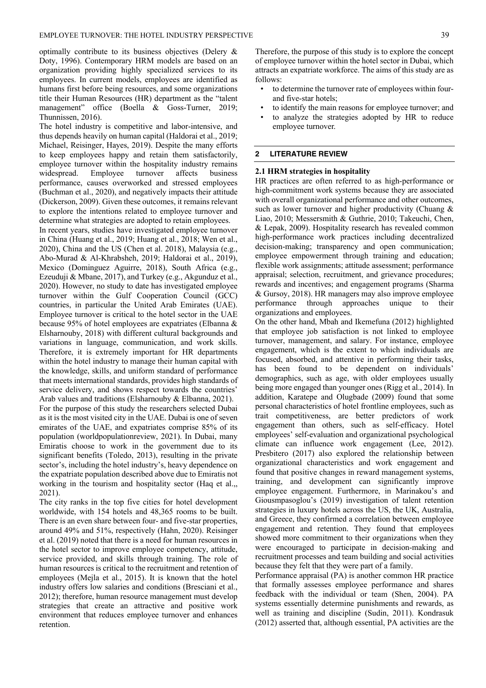optimally contribute to its business objectives (Delery & Doty, 1996). Contemporary HRM models are based on an organization providing highly specialized services to its employees. In current models, employees are identified as humans first before being resources, and some organizations title their Human Resources (HR) department as the "talent management" office (Boella & Goss-Turner, 2019; Thunnissen, 2016).

The hotel industry is competitive and labor-intensive, and thus depends heavily on human capital (Haldorai et al., 2019; Michael, Reisinger, Hayes, 2019). Despite the many efforts to keep employees happy and retain them satisfactorily, employee turnover within the hospitality industry remains widespread. Employee turnover affects business performance, causes overworked and stressed employees (Buchman et al., 2020), and negatively impacts their attitude (Dickerson, 2009). Given these outcomes, it remains relevant to explore the intentions related to employee turnover and determine what strategies are adopted to retain employees.

In recent years, studies have investigated employee turnover in China (Huang et al., 2019; Huang et al., 2018; Wen et al., 2020), China and the US (Chen et al. 2018), Malaysia (e.g., Abo-Murad & Al-Khrabsheh, 2019; Haldorai et al., 2019), Mexico (Dominguez Aguirre, 2018), South Africa (e.g., Ezeuduji & Mbane, 2017), and Turkey (e.g., Akgunduz et al., 2020). However, no study to date has investigated employee turnover within the Gulf Cooperation Council (GCC) countries, in particular the United Arab Emirates (UAE). Employee turnover is critical to the hotel sector in the UAE because 95% of hotel employees are expatriates (Elbanna & Elsharnouby, 2018) with different cultural backgrounds and variations in language, communication, and work skills. Therefore, it is extremely important for HR departments within the hotel industry to manage their human capital with the knowledge, skills, and uniform standard of performance that meets international standards, provides high standards of service delivery, and shows respect towards the countries' Arab values and traditions (Elsharnouby & Elbanna, 2021). For the purpose of this study the researchers selected Dubai as it is the most visited city in the UAE. Dubai is one of seven emirates of the UAE, and expatriates comprise 85% of its population (worldpopulationreview, 2021). In Dubai, many Emiratis choose to work in the government due to its significant benefits (Toledo, 2013), resulting in the private sector's, including the hotel industry's, heavy dependence on the expatriate population described above due to Emiratis not working in the tourism and hospitality sector (Haq et al.,, 2021).

The city ranks in the top five cities for hotel development worldwide, with 154 hotels and 48,365 rooms to be built. There is an even share between four- and five-star properties, around 49% and 51%, respectively (Hahn, 2020). Reisinger et al. (2019) noted that there is a need for human resources in the hotel sector to improve employee competency, attitude, service provided, and skills through training. The role of human resources is critical to the recruitment and retention of employees (Mejla et al., 2015). It is known that the hotel industry offers low salaries and conditions (Bresciani et al., 2012); therefore, human resource management must develop strategies that create an attractive and positive work environment that reduces employee turnover and enhances retention.

- to determine the turnover rate of employees within fourand five-star hotels;
- to identify the main reasons for employee turnover; and
- to analyze the strategies adopted by HR to reduce employee turnover.

#### **2 LITERATURE REVIEW**

#### **2.1 HRM strategies in hospitality**

HR practices are often referred to as high-performance or high-commitment work systems because they are associated with overall organizational performance and other outcomes, such as lower turnover and higher productivity (Chuang & Liao, 2010; Messersmith & Guthrie, 2010; Takeuchi, Chen, & Lepak, 2009). Hospitality research has revealed common high-performance work practices including decentralized decision-making; transparency and open communication; employee empowerment through training and education; flexible work assignments; attitude assessment; performance appraisal; selection, recruitment, and grievance procedures; rewards and incentives; and engagement programs (Sharma & Gursoy, 2018). HR managers may also improve employee performance through approaches unique to their organizations and employees.

On the other hand, Mbah and Ikemefuna (2012) highlighted that employee job satisfaction is not linked to employee turnover, management, and salary. For instance, employee engagement, which is the extent to which individuals are focused, absorbed, and attentive in performing their tasks, has been found to be dependent on individuals' demographics, such as age, with older employees usually being more engaged than younger ones (Rigg et al., 2014). In addition, Karatepe and Olugbade (2009) found that some personal characteristics of hotel frontline employees, such as trait competitiveness, are better predictors of work engagement than others, such as self-efficacy. Hotel employees' self-evaluation and organizational psychological climate can influence work engagement (Lee, 2012). Presbitero (2017) also explored the relationship between organizational characteristics and work engagement and found that positive changes in reward management systems, training, and development can significantly improve employee engagement. Furthermore, in Marinakou's and Giousmpasoglou's (2019) investigation of talent retention strategies in luxury hotels across the US, the UK, Australia, and Greece, they confirmed a correlation between employee engagement and retention. They found that employees showed more commitment to their organizations when they were encouraged to participate in decision-making and recruitment processes and team building and social activities because they felt that they were part of a family.

Performance appraisal (PA) is another common HR practice that formally assesses employee performance and shares feedback with the individual or team (Shen, 2004). PA systems essentially determine punishments and rewards, as well as training and discipline (Sudin, 2011). Kondrasuk (2012) asserted that, although essential, PA activities are the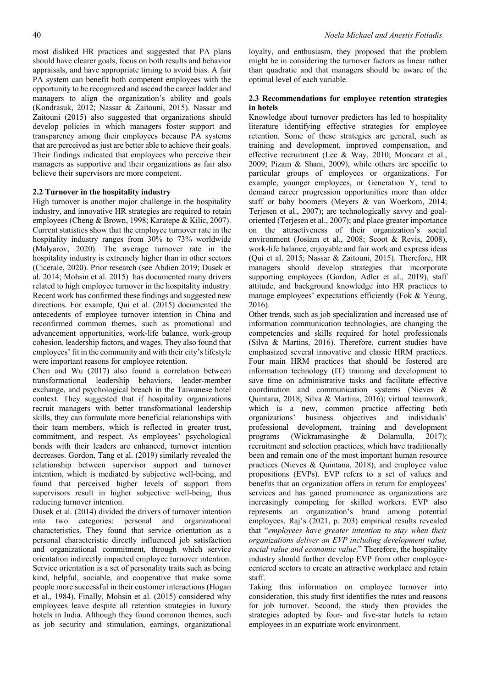most disliked HR practices and suggested that PA plans should have clearer goals, focus on both results and behavior appraisals, and have appropriate timing to avoid bias. A fair PA system can benefit both competent employees with the opportunity to be recognized and ascend the career ladder and managers to align the organization's ability and goals (Kondrasuk, 2012; Nassar & Zaitouni, 2015). Nassar and Zaitouni (2015) also suggested that organizations should develop policies in which managers foster support and transparency among their employees because PA systems that are perceived as just are better able to achieve their goals. Their findings indicated that employees who perceive their managers as supportive and their organizations as fair also believe their supervisors are more competent.

#### **2.2 Turnover in the hospitality industry**

High turnover is another major challenge in the hospitality industry, and innovative HR strategies are required to retain employees (Cheng & Brown, 1998; Karatepe & Kilic, 2007). Current statistics show that the employee turnover rate in the hospitality industry ranges from 30% to 73% worldwide (Malyarov, 2020). The average turnover rate in the hospitality industry is extremely higher than in other sectors (Cicerale, 2020). Prior research (see Abdien 2019; Dusek et al. 2014; Mohsin et al. 2015) has documented many drivers related to high employee turnover in the hospitality industry. Recent work has confirmed these findings and suggested new directions. For example, Qui et al. (2015) documented the antecedents of employee turnover intention in China and reconfirmed common themes, such as promotional and advancement opportunities, work-life balance, work-group cohesion, leadership factors, and wages. They also found that employees' fit in the community and with their city's lifestyle were important reasons for employee retention.

Chen and Wu (2017) also found a correlation between transformational leadership behaviors, leader-member exchange, and psychological breach in the Taiwanese hotel context. They suggested that if hospitality organizations recruit managers with better transformational leadership skills, they can formulate more beneficial relationships with their team members, which is reflected in greater trust, commitment, and respect. As employees' psychological bonds with their leaders are enhanced, turnover intention decreases. Gordon, Tang et al. (2019) similarly revealed the relationship between supervisor support and turnover intention, which is mediated by subjective well-being, and found that perceived higher levels of support from supervisors result in higher subjective well-being, thus reducing turnover intention.

Dusek et al. (2014) divided the drivers of turnover intention into two categories: personal and organizational characteristics. They found that service orientation as a personal characteristic directly influenced job satisfaction and organizational commitment, through which service orientation indirectly impacted employee turnover intention. Service orientation is a set of personality traits such as being kind, helpful, sociable, and cooperative that make some people more successful in their customer interactions (Hogan et al., 1984). Finally, Mohsin et al. (2015) considered why employees leave despite all retention strategies in luxury hotels in India. Although they found common themes, such as job security and stimulation, earnings, organizational

loyalty, and enthusiasm, they proposed that the problem might be in considering the turnover factors as linear rather than quadratic and that managers should be aware of the optimal level of each variable.

# **2.3 Recommendations for employee retention strategies in hotels**

Knowledge about turnover predictors has led to hospitality literature identifying effective strategies for employee retention. Some of these strategies are general, such as training and development, improved compensation, and effective recruitment (Lee & Way, 2010; Moncarz et al., 2009; Pizam & Shani, 2009), while others are specific to particular groups of employees or organizations. For example, younger employees, or Generation Y, tend to demand career progression opportunities more than older staff or baby boomers (Meyers & van Woerkom, 2014; Terjesen et al., 2007); are technologically savvy and goaloriented (Terjesen et al., 2007); and place greater importance on the attractiveness of their organization's social environment (Josiam et al., 2008; Scoot & Revis, 2008), work-life balance, enjoyable and fair work and express ideas (Qui et al. 2015; Nassar & Zaitouni, 2015). Therefore, HR managers should develop strategies that incorporate supporting employees (Gordon, Adler et al., 2019), staff attitude, and background knowledge into HR practices to manage employees' expectations efficiently (Fok & Yeung, 2016).

Other trends, such as job specialization and increased use of information communication technologies, are changing the competencies and skills required for hotel professionals (Silva & Martins, 2016). Therefore, current studies have emphasized several innovative and classic HRM practices. Four main HRM practices that should be fostered are information technology (IT) training and development to save time on administrative tasks and facilitate effective coordination and communication systems (Nieves & Quintana, 2018; Silva & Martins, 2016); virtual teamwork, which is a new, common practice affecting both organizations' business objectives and individuals' professional development, training and development programs (Wickramasinghe & Dolamulla, 2017); recruitment and selection practices, which have traditionally been and remain one of the most important human resource practices (Nieves & Quintana, 2018); and employee value propositions (EVPs). EVP refers to a set of values and benefits that an organization offers in return for employees' services and has gained prominence as organizations are increasingly competing for skilled workers. EVP also represents an organization's brand among potential employees. Raj's (2021, p. 203) empirical results revealed that "*employees have greater intention to stay when their organizations deliver an EVP including development value, social value and economic value*." Therefore, the hospitality industry should further develop EVP from other employeecentered sectors to create an attractive workplace and retain staff.

Taking this information on employee turnover into consideration, this study first identifies the rates and reasons for job turnover. Second, the study then provides the strategies adopted by four- and five-star hotels to retain employees in an expatriate work environment.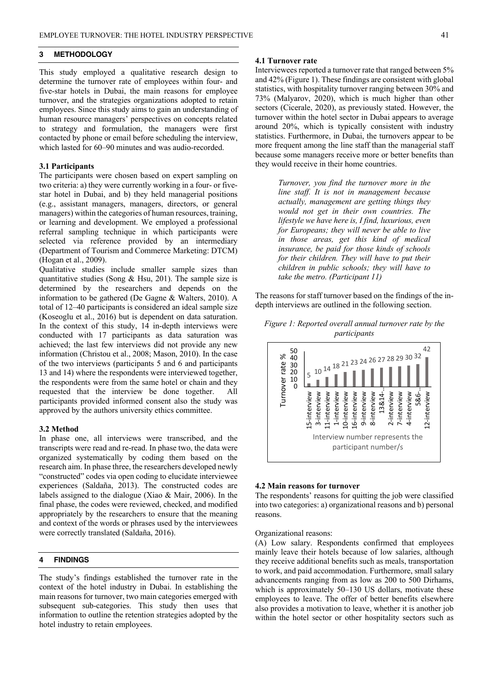#### **3 METHODOLOGY**

This study employed a qualitative research design to determine the turnover rate of employees within four- and five-star hotels in Dubai, the main reasons for employee turnover, and the strategies organizations adopted to retain employees. Since this study aims to gain an understanding of human resource managers' perspectives on concepts related to strategy and formulation, the managers were first contacted by phone or email before scheduling the interview, which lasted for 60–90 minutes and was audio-recorded.

#### **3.1 Participants**

The participants were chosen based on expert sampling on two criteria: a) they were currently working in a four- or fivestar hotel in Dubai, and b) they held managerial positions (e.g., assistant managers, managers, directors, or general managers) within the categories of human resources, training, or learning and development. We employed a professional referral sampling technique in which participants were selected via reference provided by an intermediary (Department of Tourism and Commerce Marketing: DTCM) (Hogan et al., 2009).

Qualitative studies include smaller sample sizes than quantitative studies (Song  $&$  Hsu, 201). The sample size is determined by the researchers and depends on the information to be gathered (De Gagne & Walters, 2010). A total of 12–40 participants is considered an ideal sample size (Koseoglu et al., 2016) but is dependent on data saturation. In the context of this study, 14 in-depth interviews were conducted with 17 participants as data saturation was achieved; the last few interviews did not provide any new information (Christou et al., 2008; Mason, 2010). In the case of the two interviews (participants 5 and 6 and participants 13 and 14) where the respondents were interviewed together, the respondents were from the same hotel or chain and they requested that the interview be done together. All participants provided informed consent also the study was approved by the authors university ethics committee.

#### **3.2 Method**

In phase one, all interviews were transcribed, and the transcripts were read and re-read. In phase two, the data were organized systematically by coding them based on the research aim. In phase three, the researchers developed newly "constructed" codes via open coding to elucidate interviewee experiences (Saldaña, 2013). The constructed codes are labels assigned to the dialogue (Xiao & Mair, 2006). In the final phase, the codes were reviewed, checked, and modified appropriately by the researchers to ensure that the meaning and context of the words or phrases used by the interviewees were correctly translated (Saldaña, 2016).

# **4 FINDINGS**

The study's findings established the turnover rate in the context of the hotel industry in Dubai. In establishing the main reasons for turnover, two main categories emerged with subsequent sub-categories. This study then uses that information to outline the retention strategies adopted by the hotel industry to retain employees.

#### **4.1 Turnover rate**

Interviewees reported a turnover rate that ranged between 5% and 42% (Figure 1). These findings are consistent with global statistics, with hospitality turnover ranging between 30% and 73% (Malyarov, 2020), which is much higher than other sectors (Cicerale, 2020), as previously stated. However, the turnover within the hotel sector in Dubai appears to average around 20%, which is typically consistent with industry statistics. Furthermore, in Dubai, the turnovers appear to be more frequent among the line staff than the managerial staff because some managers receive more or better benefits than they would receive in their home countries.

> *Turnover, you find the turnover more in the line staff. It is not in management because actually, management are getting things they would not get in their own countries. The lifestyle we have here is, I find, luxurious, even for Europeans; they will never be able to live in those areas, get this kind of medical insurance, be paid for those kinds of schools for their children. They will have to put their children in public schools; they will have to take the metro. (Participant 11)*

The reasons for staff turnover based on the findings of the indepth interviews are outlined in the following section.





## **4.2 Main reasons for turnover**

The respondents' reasons for quitting the job were classified into two categories: a) organizational reasons and b) personal reasons.

#### Organizational reasons:

(A) Low salary. Respondents confirmed that employees mainly leave their hotels because of low salaries, although they receive additional benefits such as meals, transportation to work, and paid accommodation. Furthermore, small salary advancements ranging from as low as 200 to 500 Dirhams, which is approximately 50–130 US dollars, motivate these employees to leave. The offer of better benefits elsewhere also provides a motivation to leave, whether it is another job within the hotel sector or other hospitality sectors such as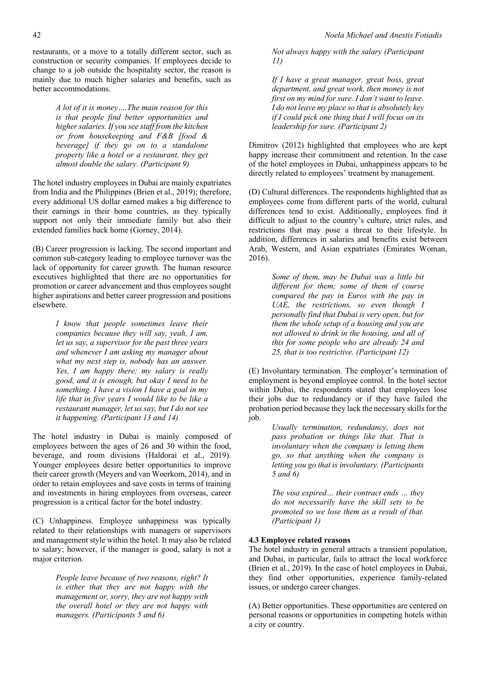*A lot of it is money….The main reason for this is that people find better opportunities and higher salaries. If you see staff from the kitchen or from housekeeping and F&B [food & beverage] if they go on to a standalone property like a hotel or a restaurant, they get almost double the salary. (Participant 9)*

The hotel industry employees in Dubai are mainly expatriates from India and the Philippines (Brien et al., 2019); therefore, every additional US dollar earned makes a big difference to their earnings in their home countries, as they typically support not only their immediate family but also their extended families back home (Gorney, 2014).

(B) Career progression is lacking. The second important and common sub-category leading to employee turnover was the lack of opportunity for career growth. The human resource executives highlighted that there are no opportunities for promotion or career advancement and thus employees sought higher aspirations and better career progression and positions elsewhere.

> *I know that people sometimes leave their companies because they will say, yeah, I am, let us say, a supervisor for the past three years and whenever I am asking my manager about what my next step is, nobody has an answer. Yes, I am happy there; my salary is really good, and it is enough, but okay I need to be something. I have a vision I have a goal in my life that in five years I would like to be like a restaurant manager, let us say, but I do not see it happening. (Participant 13 and 14)*

The hotel industry in Dubai is mainly composed of employees between the ages of 26 and 30 within the food, beverage, and room divisions (Haldorai et al., 2019). Younger employees desire better opportunities to improve their career growth (Meyers and van Woerkom, 2014), and in order to retain employees and save costs in terms of training and investments in hiring employees from overseas, career progression is a critical factor for the hotel industry.

(C) Unhappiness. Employee unhappiness was typically related to their relationships with managers or supervisors and management style within the hotel. It may also be related to salary; however, if the manager is good, salary is not a major criterion.

> *People leave because of two reasons, right? It is either that they are not happy with the management or, sorry, they are not happy with the overall hotel or they are not happy with managers. (Participants 5 and 6)*

*Not always happy with the salary (Participant 11)*

*If I have a great manager, great boss, great department, and great work, then money is not first on my mind for sure. I don't want to leave. I do not leave my place so that is absolutely key if I could pick one thing that I will focus on its leadership for sure. (Participant 2)*

Dimitrov (2012) highlighted that employees who are kept happy increase their commitment and retention. In the case of the hotel employees in Dubai, unhappiness appears to be directly related to employees' treatment by management.

(D) Cultural differences. The respondents highlighted that as employees come from different parts of the world, cultural differences tend to exist. Additionally, employees find it difficult to adjust to the country's culture, strict rules, and restrictions that may pose a threat to their lifestyle. In addition, differences in salaries and benefits exist between Arab, Western, and Asian expatriates (Emirates Woman, 2016).

> *Some of them, may be Dubai was a little bit different for them; some of them of course compared the pay in Euros with the pay in UAE, the restrictions, so even though I personally find that Dubai is very open, but for them the whole setup of a housing and you are not allowed to drink in the housing, and all of this for some people who are already 24 and 25, that is too restrictive. (Participant 12)*

(E) Involuntary termination. The employer's termination of employment is beyond employee control. In the hotel sector within Dubai, the respondents stated that employees lose their jobs due to redundancy or if they have failed the probation period because they lack the necessary skills for the job.

> *Usually termination, redundancy, does not pass probation or things like that. That is involuntary when the company is letting them go, so that anything when the company is letting you go that is involuntary. (Participants 5 and 6)*

> *The visa expired… their contract ends … they do not necessarily have the skill sets to be promoted so we lose them as a result of that. (Participant 1)*

# **4.3 Employee related reasons**

The hotel industry in general attracts a transient population, and Dubai, in particular, fails to attract the local workforce (Brien et al., 2019). In the case of hotel employees in Dubai, they find other opportunities, experience family-related issues, or undergo career changes.

(A) Better opportunities. These opportunities are centered on personal reasons or opportunities in competing hotels within a city or country.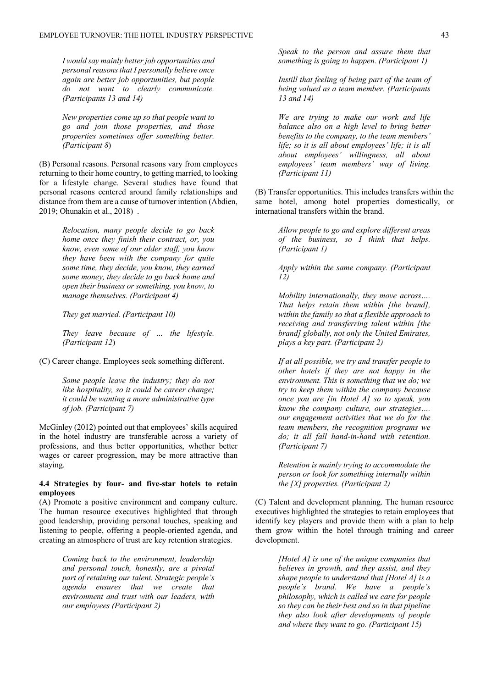*I would say mainly better job opportunities and personal reasons that I personally believe once again are better job opportunities, but people do not want to clearly communicate. (Participants 13 and 14)*

*New properties come up so that people want to go and join those properties, and those properties sometimes offer something better. (Participant 8*)

(B) Personal reasons. Personal reasons vary from employees returning to their home country, to getting married, to looking for a lifestyle change. Several studies have found that personal reasons centered around family relationships and distance from them are a cause of turnover intention (Abdien, 2019; Ohunakin et al., 2018) .

> *Relocation, many people decide to go back home once they finish their contract, or, you know, even some of our older staff, you know they have been with the company for quite some time, they decide, you know, they earned some money, they decide to go back home and open their business or something, you know, to manage themselves. (Participant 4)*

*They get married. (Participant 10)*

*They leave because of … the lifestyle. (Participant 12*)

(C) Career change. Employees seek something different.

*Some people leave the industry; they do not like hospitality, so it could be career change; it could be wanting a more administrative type of job. (Participant 7)*

McGinley (2012) pointed out that employees' skills acquired in the hotel industry are transferable across a variety of professions, and thus better opportunities, whether better wages or career progression, may be more attractive than staying.

#### **4.4 Strategies by four- and five-star hotels to retain employees**

(A) Promote a positive environment and company culture. The human resource executives highlighted that through good leadership, providing personal touches, speaking and listening to people, offering a people-oriented agenda, and creating an atmosphere of trust are key retention strategies.

> *Coming back to the environment, leadership and personal touch, honestly, are a pivotal part of retaining our talent. Strategic people's agenda ensures that we create that environment and trust with our leaders, with our employees (Participant 2)*

*Speak to the person and assure them that something is going to happen. (Participant 1)*

*Instill that feeling of being part of the team of being valued as a team member. (Participants 13 and 14)*

*We are trying to make our work and life balance also on a high level to bring better benefits to the company, to the team members' life; so it is all about employees' life; it is all about employees' willingness, all about employees' team members' way of living. (Participant 11)*

(B) Transfer opportunities. This includes transfers within the same hotel, among hotel properties domestically, or international transfers within the brand.

> *Allow people to go and explore different areas of the business, so I think that helps. (Participant 1)*

> *Apply within the same company. (Participant 12)*

> *Mobility internationally, they move across…. That helps retain them within [the brand], within the family so that a flexible approach to receiving and transferring talent within [the brand] globally, not only the United Emirates, plays a key part. (Participant 2)*

> *If at all possible, we try and transfer people to other hotels if they are not happy in the environment. This is something that we do; we try to keep them within the company because once you are [in Hotel A] so to speak, you know the company culture, our strategies…. our engagement activities that we do for the team members, the recognition programs we do; it all fall hand-in-hand with retention. (Participant 7)*

> *Retention is mainly trying to accommodate the person or look for something internally within the [X] properties. (Participant 2)*

(C) Talent and development planning. The human resource executives highlighted the strategies to retain employees that identify key players and provide them with a plan to help them grow within the hotel through training and career development.

> *[Hotel A] is one of the unique companies that believes in growth, and they assist, and they shape people to understand that [Hotel A] is a people's brand. We have a people's philosophy, which is called we care for people so they can be their best and so in that pipeline they also look after developments of people and where they want to go. (Participant 15)*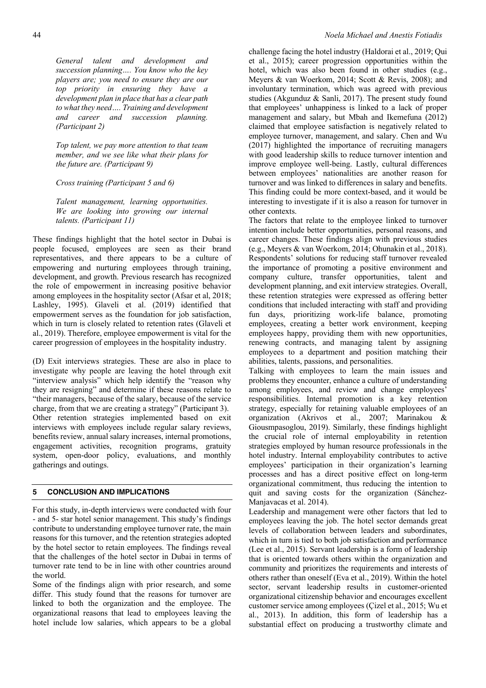*General talent and development and succession planning…. You know who the key players are; you need to ensure they are our top priority in ensuring they have a development plan in place that has a clear path to what they need…. Training and development and career and succession planning. (Participant 2)*

*Top talent, we pay more attention to that team member, and we see like what their plans for the future are. (Participant 9)*

*Cross training (Participant 5 and 6)*

*Talent management, learning opportunities. We are looking into growing our internal talents. (Participant 11)*

These findings highlight that the hotel sector in Dubai is people focused, employees are seen as their brand representatives, and there appears to be a culture of empowering and nurturing employees through training, development, and growth. Previous research has recognized the role of empowerment in increasing positive behavior among employees in the hospitality sector (Afsar et al, 2018; Lashley, 1995). Glaveli et al. (2019) identified that empowerment serves as the foundation for job satisfaction, which in turn is closely related to retention rates (Glaveli et al., 2019). Therefore, employee empowerment is vital for the career progression of employees in the hospitality industry.

(D) Exit interviews strategies. These are also in place to investigate why people are leaving the hotel through exit "interview analysis" which help identify the "reason why they are resigning" and determine if these reasons relate to "their managers, because of the salary, because of the service charge, from that we are creating a strategy" (Participant 3). Other retention strategies implemented based on exit interviews with employees include regular salary reviews, benefits review, annual salary increases, internal promotions, engagement activities, recognition programs, gratuity system, open-door policy, evaluations, and monthly gatherings and outings.

#### **5 CONCLUSION AND IMPLICATIONS**

For this study, in-depth interviews were conducted with four - and 5- star hotel senior management. This study's findings contribute to understanding employee turnover rate, the main reasons for this turnover, and the retention strategies adopted by the hotel sector to retain employees. The findings reveal that the challenges of the hotel sector in Dubai in terms of turnover rate tend to be in line with other countries around the world.

Some of the findings align with prior research, and some differ. This study found that the reasons for turnover are linked to both the organization and the employee. The organizational reasons that lead to employees leaving the hotel include low salaries, which appears to be a global challenge facing the hotel industry (Haldorai et al., 2019; Qui et al., 2015); career progression opportunities within the hotel, which was also been found in other studies (e.g., Meyers & van Woerkom, 2014; Scott & Revis, 2008); and involuntary termination, which was agreed with previous studies (Akgunduz & Sanli, 2017). The present study found that employees' unhappiness is linked to a lack of proper management and salary, but Mbah and Ikemefuna (2012) claimed that employee satisfaction is negatively related to employee turnover, management, and salary. Chen and Wu (2017) highlighted the importance of recruiting managers with good leadership skills to reduce turnover intention and improve employee well-being. Lastly, cultural differences between employees' nationalities are another reason for turnover and was linked to differences in salary and benefits. This finding could be more context-based, and it would be interesting to investigate if it is also a reason for turnover in other contexts.

The factors that relate to the employee linked to turnover intention include better opportunities, personal reasons, and career changes. These findings align with previous studies (e.g., Meyers & van Woerkom, 2014; Ohunakin et al., 2018). Respondents' solutions for reducing staff turnover revealed the importance of promoting a positive environment and company culture, transfer opportunities, talent and development planning, and exit interview strategies. Overall, these retention strategies were expressed as offering better conditions that included interacting with staff and providing fun days, prioritizing work-life balance, promoting employees, creating a better work environment, keeping employees happy, providing them with new opportunities, renewing contracts, and managing talent by assigning employees to a department and position matching their abilities, talents, passions, and personalities.

Talking with employees to learn the main issues and problems they encounter, enhance a culture of understanding among employees, and review and change employees' responsibilities. Internal promotion is a key retention strategy, especially for retaining valuable employees of an organization (Akrivos et al., 2007; Marinakou & Giousmpasoglou, 2019). Similarly, these findings highlight the crucial role of internal employability in retention strategies employed by human resource professionals in the hotel industry. Internal employability contributes to active employees' participation in their organization's learning processes and has a direct positive effect on long-term organizational commitment, thus reducing the intention to quit and saving costs for the organization (Sánchez-Manjavacas et al. 2014).

Leadership and management were other factors that led to employees leaving the job. The hotel sector demands great levels of collaboration between leaders and subordinates, which in turn is tied to both job satisfaction and performance (Lee et al., 2015). Servant leadership is a form of leadership that is oriented towards others within the organization and community and prioritizes the requirements and interests of others rather than oneself (Eva et al., 2019). Within the hotel sector, servant leadership results in customer-oriented organizational citizenship behavior and encourages excellent customer service among employees (Çizel et al., 2015; Wu et al., 2013). In addition, this form of leadership has a substantial effect on producing a trustworthy climate and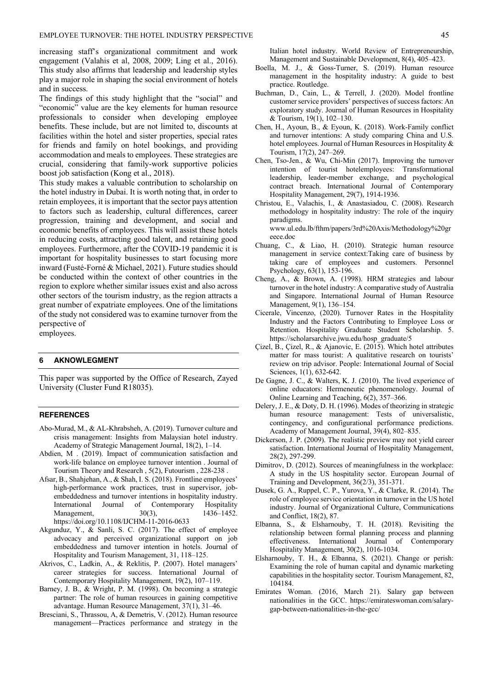increasing staff's organizational commitment and work engagement (Valahis et al, 2008, 2009; Ling et al., 2016). This study also affirms that leadership and leadership styles play a major role in shaping the social environment of hotels and in success.

The findings of this study highlight that the "social" and "economic" value are the key elements for human resource professionals to consider when developing employee benefits. These include, but are not limited to, discounts at facilities within the hotel and sister properties, special rates for friends and family on hotel bookings, and providing accommodation and meals to employees. These strategies are crucial, considering that family-work supportive policies boost job satisfaction (Kong et al., 2018).

This study makes a valuable contribution to scholarship on the hotel industry in Dubai. It is worth noting that, in order to retain employees, it is important that the sector pays attention to factors such as leadership, cultural differences, career progression, training and development, and social and economic benefits of employees. This will assist these hotels in reducing costs, attracting good talent, and retaining good employees. Furthermore, after the COVID-19 pandemic it is important for hospitality businesses to start focusing more inward (Fusté-Forné & Michael, 2021). Future studies should be conducted within the context of other countries in the region to explore whether similar issues exist and also across other sectors of the tourism industry, as the region attracts a great number of expatriate employees. One of the limitations of the study not considered was to examine turnover from the perspective of

employees.

## **6 AKNOWLEGMENT**

This paper was supported by the Office of Research, Zayed University (Cluster Fund R18035).

#### **REFERENCES**

- Abo-Murad, M., & AL-Khrabsheh, A. (2019). Turnover culture and crisis management: Insights from Malaysian hotel industry. Academy of Strategic Management Journal, 18(2), 1–14.
- Abdien, M . (2019). Impact of communication satisfaction and work-life balance on employee turnover intention . Journal of Tourism Theory and Research , 5(2), Futourism , 228-238 .
- Afsar, B., Shahjehan, A., & Shah, I. S. (2018). Frontline employees' high-performance work practices, trust in supervisor, jobembeddedness and turnover intentions in hospitality industry. International Journal of Contemporary Hospitality Management, 30(3), 1436-1452. https://doi.org/10.1108/IJCHM-11-2016-0633
- Akgunduz, Y., & Sanli, S. C. (2017). The effect of employee advocacy and perceived organizational support on job embeddedness and turnover intention in hotels. Journal of Hospitality and Tourism Management, 31, 118–125.
- Akrivos, C., Ladkin, A., & Reklitis, P. (2007). Hotel managers' career strategies for success. International Journal of Contemporary Hospitality Management, 19(2), 107–119.
- Barney, J. B., & Wright, P. M. (1998). On becoming a strategic partner: The role of human resources in gaining competitive advantage. Human Resource Management, 37(1), 31–46.
- Bresciani, S., Thrassou, A, & Demetris, V. (2012). Human resource management—Practices performance and strategy in the

Italian hotel industry. World Review of Entrepreneurship, Management and Sustainable Development, 8(4), 405–423.

- Boella, M. J., & Goss-Turner, S. (2019). Human resource management in the hospitality industry: A guide to best practice. Routledge.
- Buchman, D., Cain, L., & Terrell, J. (2020). Model frontline customer service providers' perspectives of success factors: An exploratory study. Journal of Human Resources in Hospitality & Tourism, 19(1), 102–130.
- Chen, H., Ayoun, B., & Eyoun, K. (2018). Work-Family conflict and turnover intentions: A study comparing China and U.S. hotel employees. Journal of Human Resources in Hospitality & Tourism, 17(2), 247–269.
- Chen, Tso-Jen., & Wu, Chi-Min (2017). Improving the turnover intention of tourist hotelemployees: Transformational leadership, leader-member exchange, and psychological contract breach. International Journal of Contemporary Hospitality Management, 29(7), 1914-1936.
- Christou, E., Valachis, I., & Anastasiadou, C. (2008). Research methodology in hospitality industry: The role of the inquiry paradigms.

www.ul.edu.lb/fthm/papers/3rd%20Axis/Methodology%20gr eece.doc

- Chuang, C., & Liao, H. (2010). Strategic human resource management in service context:Taking care of business by taking care of employees and customers. Personnel Psychology, 63(1), 153-196.
- Cheng, A., & Brown, A. (1998). HRM strategies and labour turnover in the hotel industry: A comparative study of Australia and Singapore. International Journal of Human Resource Management, 9(1), 136–154.
- Cicerale, Vincenzo, (2020). Turnover Rates in the Hospitality Industry and the Factors Contributing to Employee Loss or Retention. Hospitality Graduate Student Scholarship. 5. https://scholarsarchive.jwu.edu/hosp\_graduate/5
- Çizel, B., Çizel, R., & Ajanovic, E. (2015). Which hotel attributes matter for mass tourist: A qualitative research on tourists' review on trip advisor. People: International Journal of Social Sciences, 1(1), 632-642.
- De Gagne, J. C., & Walters, K. J. (2010). The lived experience of online educators: Hermeneutic phenomenology. Journal of Online Learning and Teaching, 6(2), 357–366.
- Delery, J. E., & Doty, D. H. (1996). Modes of theorizing in strategic human resource management: Tests of universalistic, contingency, and configurational performance predictions. Academy of Management Journal, 39(4), 802–835.
- Dickerson, J. P. (2009). The realistic preview may not yield career satisfaction. International Journal of Hospitality Management, 28(2), 297-299.
- Dimitrov, D. (2012). Sources of meaningfulness in the workplace: A study in the US hospitality sector. European Journal of Training and Development, 36(2/3), 351-371.
- Dusek, G. A., Ruppel, C. P., Yurova, Y., & Clarke, R. (2014). The role of employee service orientation in turnover in the US hotel industry. Journal of Organizational Culture, Communications and Conflict, 18(2), 87.
- Elbanna, S., & Elsharnouby, T. H. (2018). Revisiting the relationship between formal planning process and planning effectiveness. International Journal of Contemporary Hospitality Management, 30(2), 1016-1034.
- Elsharnouby, T. H., & Elbanna, S. (2021). Change or perish: Examining the role of human capital and dynamic marketing capabilities in the hospitality sector. Tourism Management, 82, 104184.
- Emirates Woman. (2016, March 21). Salary gap between nationalities in the GCC. https://emirateswoman.com/salarygap-between-nationalities-in-the-gcc/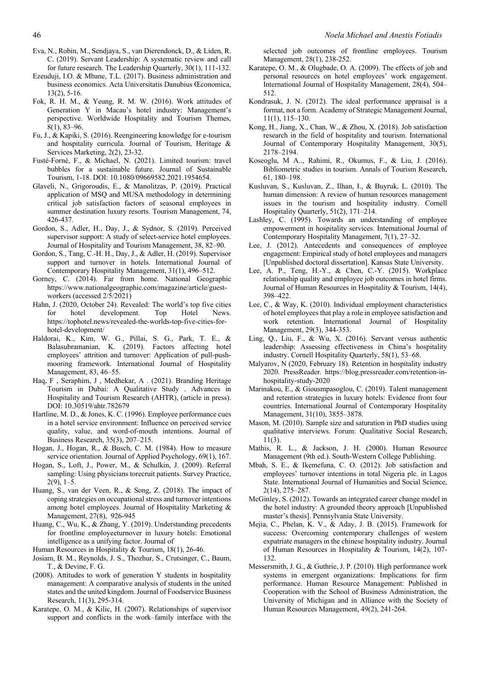- Eva, N., Robin, M., Sendjaya, S., van Dierendonck, D., & Liden, R. C. (2019). Servant Leadership: A systematic review and call for future research. The Leadership Quarterly, 30(1), 111-132.
- Ezeuduji, I.O. & Mbane, T.L. (2017). Business administration and business economics. Acta Universitatis Danubius Œconomica, 13(2), 5-16.
- Fok, R. H. M., & Yeung, R. M. W. (2016). Work attitudes of Generation Y in Macau's hotel industry: Management's perspective. Worldwide Hospitality and Tourism Themes, 8(1), 83–96.
- Fu, J., & Kapiki, S. (2016). Reengineering knowledge for e-tourism and hospitality curricula. Journal of Tourism, Heritage & Services Marketing, 2(2), 23-32.
- Fusté-Forné, F., & Michael, N. (2021). Limited tourism: travel bubbles for a sustainable future. Journal of Sustainable Tourism, 1-18. DOI: 10.1080/09669582.2021.1954654.
- Glaveli, N., Grigoroudis, E., & Manolitzas, P. (2019). Practical application of MSQ and MUSA methodology in determining critical job satisfaction factors of seasonal employees in summer destination luxury resorts. Tourism Management, 74, 426-437.
- Gordon, S., Adler, H., Day, J., & Sydnor, S. (2019). Perceived supervisor support: A study of select-service hotel employees. Journal of Hospitality and Tourism Management, 38, 82–90.
- Gordon, S., Tang, C.-H. H., Day, J., & Adler, H. (2019). Supervisor support and turnover in hotels. International Journal of Contemporary Hospitality Management, 31(1), 496–512.
- Gorney, C. (2014). Far from home. National Geographic https://www.nationalgeographic.com/magazine/article/guestworkers (accessed 2/5/2021)
- Hahn, J. (2020, October 24). Revealed: The world's top five cities for hotel development. Top Hotel News. https://tophotel.news/revealed-the-worlds-top-five-cities-forhotel-development/
- Haldorai, K., Kim, W. G., Pillai, S. G., Park, T. E., & Balasubramanian, K. (2019). Factors affecting hotel employees' attrition and turnover: Application of pull-pushmooring framework. International Journal of Hospitality Management, 83, 46–55.
- Haq, F , Seraphim, J , Medhekar, A . (2021). Branding Heritage Tourism in Dubai: A Qualitative Study . Advances in Hospitality and Tourism Research (AHTR), (article in press). DOI: 10.30519/ahtr.782679
- Hartline, M. D., & Jones, K. C. (1996). Employee performance cues in a hotel service environment: Influence on perceived service quality, value, and word-of-mouth intentions. Journal of Business Research, 35(3), 207–215.
- Hogan, J., Hogan, R., & Busch, C. M. (1984). How to measure service orientation. Journal of Applied Psychology, 69(1), 167.
- Hogan, S., Loft, J., Power, M., & Schulkin, J. (2009). Referral sampling: Using physicians torecruit patients. Survey Practice,  $2(9)$ , 1–5.
- Huang, S., van der Veen, R., & Song, Z. (2018). The impact of coping strategies on occupational stress and turnover intentions among hotel employees. Journal of Hospitality Marketing & Management, 27(8), 926-945
- Huang, C., Wu, K., & Zhang, Y. (2019). Understanding precedents for frontline employeeturnover in luxury hotels: Emotional intelligence as a unifying factor. Journal of
- Human Resources in Hospitality & Tourism, 18(1), 26-46.
- Josiam, B. M., Reynolds, J. S., Thozhur, S., Crutsinger, C., Baum, T., & Devine, F. G.
- (2008). Attitudes to work of generation Y students in hospitality management: A comparative analysis of students in the united states and the united kingdom. Journal of Foodservice Business Research, 11(3), 295-314.
- Karatepe, O. M., & Kilic, H. (2007). Relationships of supervisor support and conflicts in the work–family interface with the

selected job outcomes of frontline employees. Tourism Management, 28(1), 238-252.

- Karatepe, O. M., & Olugbade, O. A. (2009). The effects of job and personal resources on hotel employees' work engagement. International Journal of Hospitality Management, 28(4), 504– 512.
- Kondrasuk, J. N. (2012). The ideal performance appraisal is a format, not a form. Academy of Strategic Management Journal, 11(1), 115–130.
- Kong, H., Jiang, X., Chan, W., & Zhou, X. (2018). Job satisfaction research in the field of hospitality and tourism. International Journal of Contemporary Hospitality Management, 30(5), 2178–2194.
- Koseoglu, M A.., Rahimi, R., Okumus, F., & Liu, J. (2016). Bibliometric studies in tourism. Annals of Tourism Research, 61, 180–198.
- Kusluvan, S., Kusluvan, Z., Ilhan, I., & Buyruk, L. (2010). The human dimension: A review of human resources management issues in the tourism and hospitality industry. Cornell Hospitality Quarterly, 51(2), 171–214.
- Lashley, C. (1995). Towards an understanding of employee empowerment in hospitality services. International Journal of Contemporary Hospitality Management, 7(1), 27–32.
- Lee, J. (2012). Antecedents and consequences of employee engagement: Empirical study of hotel employees and managers [Unpublished doctoral dissertation]. Kansas State University.
- Lee, A. P., Teng, H.-Y., & Chen, C.-Y. (2015). Workplace relationship quality and employee job outcomes in hotel firms. Journal of Human Resources in Hospitality & Tourism, 14(4), 398–422.
- Lee, C., & Way, K. (2010). Individual employment characteristics of hotel employees that play a role in employee satisfaction and work retention. International Journal of Hospitality Management, 29(3), 344-353.
- Ling, Q., Liu, F., & Wu, X. (2016). Servant versus authentic leadership: Assessing effectiveness in China's hospitality industry. Cornell Hospitality Quarterly, 58(1), 53–68.
- Malyarov, N (2020, February 18). Retention in hospitality industry 2020. PressReader. https://blog.pressreader.com/retention-inhospitality-study-2020
- Marinakou, E., & Giousmpasoglou, C. (2019). Talent management and retention strategies in luxury hotels: Evidence from four countries. International Journal of Contemporary Hospitality Management, 31(10), 3855–3878.
- Mason, M. (2010). Sample size and saturation in PhD studies using qualitative interviews. Forum: Qualitative Social Research, 11(3).
- Mathis, R. L., & Jackson, J. H. (2000). Human Resource Management (9th ed.). South-Western College Publishing.
- Mbah, S. E., & Ikemefuna, C. O. (2012). Job satisfaction and employees' turnover intentions in total Nigeria plc. in Lagos State. International Journal of Humanities and Social Science, 2(14), 275–287.
- McGinley, S. (2012). Towards an integrated career change model in the hotel industry: A grounded theory approach [Unpublished master's thesis]. Pennsylvania State University.
- Mejia, C., Phelan, K. V., & Aday, J. B. (2015). Framework for success: Overcoming contemporary challenges of western expatriate managers in the chinese hospitality industry. Journal of Human Resources in Hospitality & Tourism, 14(2), 107- 132.
- Messersmith, J. G., & Guthrie, J. P. (2010). High performance work systems in emergent organizations: Implications for firm performance. Human Resource Management: Published in Cooperation with the School of Business Administration, the University of Michigan and in Alliance with the Society of Human Resources Management, 49(2), 241-264.